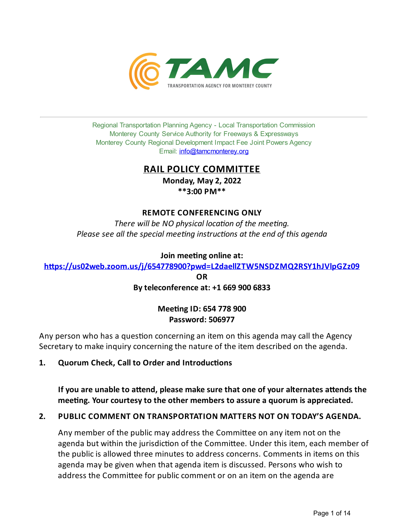

Regional Transportation Planning Agency - Local Transportation Commission Monterey County Service Authority for Freeways & Expressways Monterey County Regional Development Impact Fee Joint Powers Agency Email: *[info@tamcmonterey.org](file:///C:/Windows/TEMP/info@tamcmonterey.org)* 

# **RAIL POLICY COMMITTEE**

**Monday, May 2, 2022 \*\*3:00 PM\*\***

## **REMOTE CONFERENCING ONLY**

*There* will be NO physical location of the meeting. *Please see* all the *special* meeting *instructions* at the end of this agenda

**Join meeng online at:**

**[h\\$ps://us02web.zoom.us/j/654778900?pwd=L2daellZTW5NSDZMQ2RSY1hJVlpGZz09](https://us02web.zoom.us/j/654778900?pwd=L2daellZTW5NSDZMQ2RSY1hJVlpGZz09)**

**OR Byteleconference at: +1 669 900 6833**

# **MeengID: 654 778 900 Password: 506977**

Any person who has a question concerning an item on this agenda may call the Agency Secretary to make inquiry concerning the nature of the item described on the agenda.

1. **Quorum Check, Call to Order and Introductions** 

**If you** are unable to attend, please make sure that one of your alternates attends the **meeng. Your courtesyto the other members to assure a quorum is appreciated.**

# **2. PUBLIC COMMENT ON TRANSPORTATION MATTERS NOT ON TODAY'S AGENDA.**

Any member of the public may address the Committee on any item not on the agenda but within the jurisdiction of the Committee. Under this item, each member of the public is allowed three minutes to address concerns. Comments in items on this agenda may be given when that agenda item is discussed. Persons who wish to address the Committee for public comment or on an item on the agenda are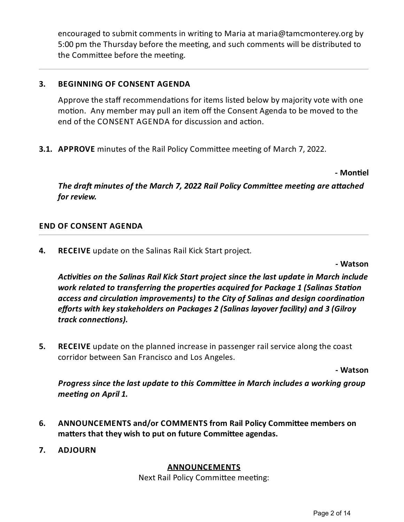encouraged to submit comments in writing to Maria at maria@tamcmonterey.org by 5:00 pm the Thursday before the meeting, and such comments will be distributed to the Committee before the meeting.

# **3. BEGINNING OF CONSENT AGENDA**

Approve the staff recommendations for items listed below by majority vote with one motion. Any member may pull an item off the Consent Agenda to be moved to the end of the CONSENT AGENDA for discussion and action.

**3.1. APPROVE** minutes of the Rail Policy Committee meeting of March 7, 2022.

**- Monel**

*The draft minutes of the March 7, 2022 Rail Policy Committee meeting are attached for review.*

## **END OF CONSENT AGENDA**

**4. RECEIVE** update on the Salinas Rail Kick Start project.

**- Watson**

*Activities* on the Salinas Rail Kick Start project since the last update in March include *work related to transferring the properties acquired for Package* 1 (Salinas Station *access and circulation improvements) to the City of Salinas and design coordination efforts with keystakeholders on Packages 2 (Salinas layover facility) and 3 (Gilroy*  $track$  *connections*).

**5. RECEIVE** update on the planned increase in passenger rail service along the coast corridor between San Francisco and Los Angeles.

**- Watson**

*Progress since the last update to this Committee in March includes a working group meeng on April 1.*

- **6.** ANNOUNCEMENTS and/or COMMENTS from Rail Policy Committee members on **matters** that they wish to put on future Committee agendas.
- **7. ADJOURN**

## **ANNOUNCEMENTS**

Next Rail Policy Committee meeting: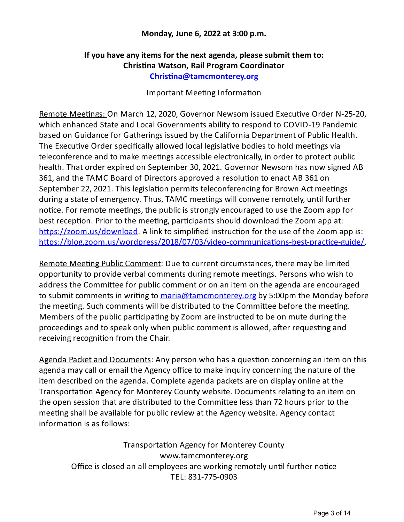## **Monday, June 6, 2022 at 3:00 p.m.**

# **Ifyou have anyitems for the next agenda, please submit them to: Chrisna Watson, Rail Program Coordinator [Chrisna@tamcmonterey.org](mailto:Christina@tamcmonterey.org)**

## Important Meeting Information

Remote Meetings: On March 12, 2020, Governor Newsom issued Executive Order N-25-20, which enhanced State and Local Governments ability to respond to COVID-19 Pandemic based on Guidance for Gatherings issued by the California Department of Public Health. The Executive Order specifically allowed local legislative bodies to hold meetings via teleconference and to make meetings accessible electronically, in order to protect public health. That order expired on September 30, 2021. Governor Newsom has now signed AB 361, and the TAMC Board of Directors approved a resolution to enact AB 361 on September 22, 2021. This legislation permits teleconferencing for Brown Act meetings during a state of emergency. Thus, TAMC meetings will convene remotely, until further notice. For remote meetings, the public is strongly encouraged to use the Zoom app for best reception. Prior to the meeting, participants should download the Zoom app at:  $\frac{https://zoom.us/download. A link to simplified instruction for the use of the Zoom app is:$ https://blog.zoom.us/wordpress/2018/07/03/video-communications-best-practice-guide/.

Remote Meeting Public Comment: Due to current circumstances, there may be limited opportunity to provide verbal comments during remote meetings. Persons who wish to address the Committee for public comment or on an item on the agenda are encouraged to submit comments in writing to [maria@tamcmonterey.org](mailto:maria@tamcmonterey.org) by 5:00pm the Monday before the meeting. Such comments will be distributed to the Committee before the meeting. Members of the public participating by Zoom are instructed to be on mute during the proceedings and to speak only when public comment is allowed, after requesting and receiving recognition from the Chair.

Agenda Packet and Documents: Any person who has a question concerning an item on this agenda may call or email the Agency office to make inquiry concerning the nature of the item described on the agenda. Complete agenda packets are on display online at the Transportation Agency for Monterey County website. Documents relating to an item on the open session that are distributed to the Committee less than 72 hours prior to the meeting shall be available for public review at the Agency website. Agency contact information is as follows:

Transportation Agency for Monterey County www.tamcmonterey.org Office is closed an all employees are working remotely until further notice TEL: 831-775-0903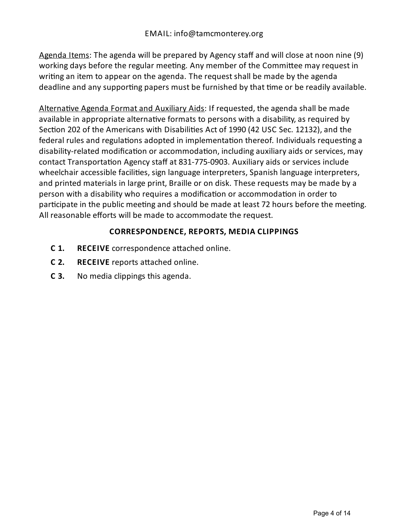Agenda Items: The agenda will be prepared by Agency staff and will close at noon nine (9) working days before the regular meeting. Any member of the Committee may request in writing an item to appear on the agenda. The request shall be made by the agenda deadline and any supporting papers must be furnished by that time or be readily available.

Alternative Agenda Format and Auxiliary Aids: If requested, the agenda shall be made available in appropriate alternative formats to persons with a disability, as required by Section 202 of the Americans with Disabilities Act of 1990 (42 USC Sec. 12132), and the federal rules and regulations adopted in implementation thereof. Individuals requesting a disability-related modification or accommodation, including auxiliary aids or services, may contact Transportation Agency staff at 831-775-0903. Auxiliary aids or services include wheelchair accessible facilities, sign language interpreters, Spanish language interpreters, and printed materials in large print, Braille or on disk. These requests may be made by a person with a disability who requires a modification or accommodation in order to participate in the public meeting and should be made at least 72 hours before the meeting. All reasonable efforts will be made to accommodate the request.

## **CORRESPONDENCE, REPORTS, MEDIA CLIPPINGS**

- **C** 1. **RECEIVE** correspondence attached online.
- **C 2. RECEIVE** reports attached online.
- **C 3.** No media clippings this agenda.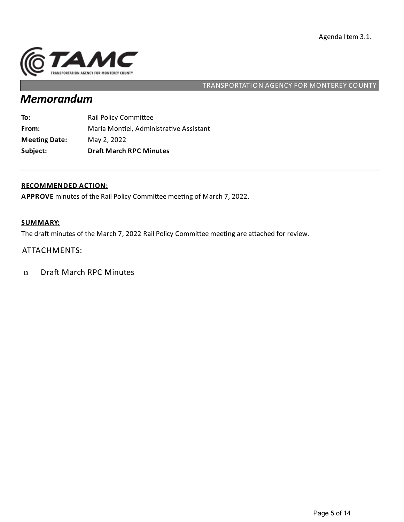

# *Memorandum*

| Subject:             | <b>Draft March RPC Minutes</b>          |
|----------------------|-----------------------------------------|
| <b>Meeting Date:</b> | May 2, 2022                             |
| From:                | Maria Montiel, Administrative Assistant |
| To:                  | Rail Policy Committee                   |

#### **RECOMMENDED ACTION:**

APPROVE minutes of the Rail Policy Committee meeting of March 7, 2022.

### **SUMMARY:**

The draft minutes of the March 7, 2022 Rail Policy Committee meeting are attached for review.

## ATTACHMENTS:

Draft March RPC Minutes  $\mathbf D$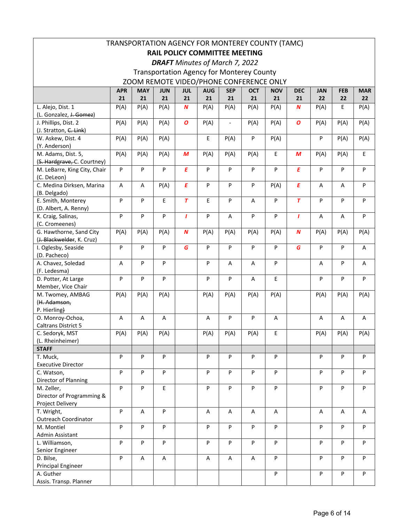| <b>DRAFT</b> Minutes of March 7, 2022<br><b>Transportation Agency for Monterey County</b><br>ZOOM REMOTE VIDEO/PHONE CONFERENCE ONLY<br><b>MAY</b><br><b>SEP</b><br><b>APR</b><br><b>JUN</b><br><b>JUL</b><br><b>AUG</b><br><b>OCT</b><br><b>NOV</b><br><b>DEC</b><br><b>JAN</b><br><b>FEB</b><br>21<br>22<br>21<br>21<br>21<br>21<br>21<br>21<br>21<br>22<br>21<br>$22 \overline{ }$ | TRANSPORTATION AGENCY FOR MONTEREY COUNTY (TAMC) |  |  |  |  |  |  |  |  |  |            |
|---------------------------------------------------------------------------------------------------------------------------------------------------------------------------------------------------------------------------------------------------------------------------------------------------------------------------------------------------------------------------------------|--------------------------------------------------|--|--|--|--|--|--|--|--|--|------------|
|                                                                                                                                                                                                                                                                                                                                                                                       | <b>RAIL POLICY COMMITTEE MEETING</b>             |  |  |  |  |  |  |  |  |  |            |
|                                                                                                                                                                                                                                                                                                                                                                                       |                                                  |  |  |  |  |  |  |  |  |  |            |
|                                                                                                                                                                                                                                                                                                                                                                                       |                                                  |  |  |  |  |  |  |  |  |  |            |
|                                                                                                                                                                                                                                                                                                                                                                                       |                                                  |  |  |  |  |  |  |  |  |  |            |
|                                                                                                                                                                                                                                                                                                                                                                                       |                                                  |  |  |  |  |  |  |  |  |  | <b>MAR</b> |
|                                                                                                                                                                                                                                                                                                                                                                                       |                                                  |  |  |  |  |  |  |  |  |  |            |
| $\boldsymbol{N}$<br>P(A)<br>E<br>L. Alejo, Dist. 1<br>P(A)<br>P(A)<br>P(A)<br>P(A)<br>P(A)<br>P(A)<br>N<br>P(A)<br>P(A)                                                                                                                                                                                                                                                               |                                                  |  |  |  |  |  |  |  |  |  |            |
| (L. Gonzalez, J. Gomez)                                                                                                                                                                                                                                                                                                                                                               |                                                  |  |  |  |  |  |  |  |  |  |            |
| $\boldsymbol{o}$<br>O<br>J. Phillips, Dist. 2<br>P(A)<br>P(A)<br>P(A)<br>P(A)<br>P(A)<br>P(A)<br>P(A)<br>P(A)<br>P(A)<br>$\overline{a}$                                                                                                                                                                                                                                               |                                                  |  |  |  |  |  |  |  |  |  |            |
| (J. Stratton, C. Link)                                                                                                                                                                                                                                                                                                                                                                |                                                  |  |  |  |  |  |  |  |  |  |            |
| E<br>P<br>P(A)<br>P(A)<br>P<br>P(A)<br>P(A)<br>W. Askew, Dist. 4<br>P(A)<br>P(A)<br>P(A)                                                                                                                                                                                                                                                                                              |                                                  |  |  |  |  |  |  |  |  |  |            |
| (Y. Anderson)                                                                                                                                                                                                                                                                                                                                                                         |                                                  |  |  |  |  |  |  |  |  |  |            |
| P(A)<br>P(A)<br>E<br>P(A)<br>M. Adams, Dist. 5,<br>P(A)<br>M<br>P(A)<br>P(A)<br>P(A)<br>M<br>P(A)<br>$\mathsf E$                                                                                                                                                                                                                                                                      |                                                  |  |  |  |  |  |  |  |  |  |            |
| (S. Hardgrave, C. Courtney)                                                                                                                                                                                                                                                                                                                                                           |                                                  |  |  |  |  |  |  |  |  |  |            |
| P<br>P<br>$\sf P$<br>$\pmb{E}$<br>P<br>P<br>P<br>$\pmb{E}$<br>P<br>P<br>P<br>P<br>M. LeBarre, King City, Chair                                                                                                                                                                                                                                                                        |                                                  |  |  |  |  |  |  |  |  |  |            |
| (C. DeLeon)                                                                                                                                                                                                                                                                                                                                                                           |                                                  |  |  |  |  |  |  |  |  |  |            |
| $\pmb{E}$<br>$\pmb{E}$<br>C. Medina Dirksen, Marina<br>P(A)<br>P<br>${\sf P}$<br>P<br>P(A)<br>P<br>A<br>A<br>A<br>Α                                                                                                                                                                                                                                                                   |                                                  |  |  |  |  |  |  |  |  |  |            |
| (B. Delgado)                                                                                                                                                                                                                                                                                                                                                                          |                                                  |  |  |  |  |  |  |  |  |  |            |
| $\overline{T}$<br>P<br>$\mathsf E$<br>$\overline{r}$<br>E<br>P<br>P<br>P<br>P<br>P<br>P<br>E. Smith, Monterey<br>A                                                                                                                                                                                                                                                                    |                                                  |  |  |  |  |  |  |  |  |  |            |
| (D. Albert, A. Renny)                                                                                                                                                                                                                                                                                                                                                                 |                                                  |  |  |  |  |  |  |  |  |  |            |
| P<br>P<br>${\sf P}$<br>P<br>P<br>P<br>K. Craig, Salinas,<br>P<br>$\mathbf{I}$<br>A<br>T<br>A<br>A                                                                                                                                                                                                                                                                                     |                                                  |  |  |  |  |  |  |  |  |  |            |
| (C. Cromeenes)                                                                                                                                                                                                                                                                                                                                                                        |                                                  |  |  |  |  |  |  |  |  |  |            |
| P(A)<br>$\boldsymbol{N}$<br>P(A)<br>G. Hawthorne, Sand City<br>P(A)<br>P(A)<br>P(A)<br>$\boldsymbol{N}$<br>P(A)<br>P(A)<br>P(A)<br>P(A)<br>P(A)                                                                                                                                                                                                                                       |                                                  |  |  |  |  |  |  |  |  |  |            |
| (J. Blackwelder, K. Cruz)                                                                                                                                                                                                                                                                                                                                                             |                                                  |  |  |  |  |  |  |  |  |  |            |
| P<br>P<br>P<br>P<br>P<br>$\sf P$<br>$\boldsymbol{\mathsf{P}}$<br>G<br>P<br>G<br>P<br>I. Oglesby, Seaside<br>A                                                                                                                                                                                                                                                                         |                                                  |  |  |  |  |  |  |  |  |  |            |
| (D. Pacheco)                                                                                                                                                                                                                                                                                                                                                                          |                                                  |  |  |  |  |  |  |  |  |  |            |
| P<br>P<br>P<br>P<br>P<br>A. Chavez, Soledad<br>A<br>А<br>Α<br>Α<br>Α                                                                                                                                                                                                                                                                                                                  |                                                  |  |  |  |  |  |  |  |  |  |            |
| (F. Ledesma)                                                                                                                                                                                                                                                                                                                                                                          |                                                  |  |  |  |  |  |  |  |  |  |            |
| P<br>P<br>P<br>P<br>P<br>E<br>P<br>P<br>P<br>D. Potter, At Large<br>$\mathsf A$                                                                                                                                                                                                                                                                                                       |                                                  |  |  |  |  |  |  |  |  |  |            |
| Member, Vice Chair                                                                                                                                                                                                                                                                                                                                                                    |                                                  |  |  |  |  |  |  |  |  |  |            |
| P(A)<br>P(A)<br>P(A)<br>P(A)<br>P(A)<br>M. Twomey, AMBAG<br>P(A)<br>P(A)<br>P(A)<br>P(A)<br>P(A)                                                                                                                                                                                                                                                                                      |                                                  |  |  |  |  |  |  |  |  |  |            |
| (H. Adamson,                                                                                                                                                                                                                                                                                                                                                                          |                                                  |  |  |  |  |  |  |  |  |  |            |
| P. Hierling)                                                                                                                                                                                                                                                                                                                                                                          |                                                  |  |  |  |  |  |  |  |  |  |            |
| $\sf P$<br>O. Monroy-Ochoa,<br>A<br>A<br>P<br>Α<br>Α<br>Α<br>Α<br>Α<br>Α                                                                                                                                                                                                                                                                                                              |                                                  |  |  |  |  |  |  |  |  |  |            |
| Caltrans District 5                                                                                                                                                                                                                                                                                                                                                                   |                                                  |  |  |  |  |  |  |  |  |  |            |
| C. Sedoryk, MST<br>P(A)<br>P(A)<br>P(A)<br>P(A)<br>P(A)<br>P(A)<br>P(A)<br>Ŀ,<br>P(A)<br>P(A)                                                                                                                                                                                                                                                                                         |                                                  |  |  |  |  |  |  |  |  |  |            |
| (L. Rheinheimer)<br><b>STAFF</b>                                                                                                                                                                                                                                                                                                                                                      |                                                  |  |  |  |  |  |  |  |  |  |            |
| T. Muck,<br>P<br>P<br>P<br>P<br>P<br>P<br>P<br>P<br>P<br>P                                                                                                                                                                                                                                                                                                                            |                                                  |  |  |  |  |  |  |  |  |  |            |
| <b>Executive Director</b>                                                                                                                                                                                                                                                                                                                                                             |                                                  |  |  |  |  |  |  |  |  |  |            |
| P<br>P<br>${\sf P}$<br>P<br>P<br>P<br>P<br>P<br>$\sf P$<br>P<br>C. Watson,                                                                                                                                                                                                                                                                                                            |                                                  |  |  |  |  |  |  |  |  |  |            |
| Director of Planning                                                                                                                                                                                                                                                                                                                                                                  |                                                  |  |  |  |  |  |  |  |  |  |            |
| P<br>E<br>P<br>P<br>P<br>P<br>P<br>P<br>P<br>P<br>M. Zeller,                                                                                                                                                                                                                                                                                                                          |                                                  |  |  |  |  |  |  |  |  |  |            |
| Director of Programming &                                                                                                                                                                                                                                                                                                                                                             |                                                  |  |  |  |  |  |  |  |  |  |            |
| Project Delivery                                                                                                                                                                                                                                                                                                                                                                      |                                                  |  |  |  |  |  |  |  |  |  |            |
| P<br>${\sf P}$<br>T. Wright,<br>A<br>A<br>A<br>A<br>A<br>A<br>A<br>Α                                                                                                                                                                                                                                                                                                                  |                                                  |  |  |  |  |  |  |  |  |  |            |
| <b>Outreach Coordinator</b>                                                                                                                                                                                                                                                                                                                                                           |                                                  |  |  |  |  |  |  |  |  |  |            |
| P<br>P<br>$\mathsf{P}$<br>P<br>P<br>P<br>P<br>P<br>P<br>${\sf P}$<br>M. Montiel                                                                                                                                                                                                                                                                                                       |                                                  |  |  |  |  |  |  |  |  |  |            |
| Admin Assistant                                                                                                                                                                                                                                                                                                                                                                       |                                                  |  |  |  |  |  |  |  |  |  |            |
| P<br>P<br>$\mathsf{P}$<br>P<br>P<br>P<br>P<br>P<br>P<br>${\sf P}$<br>L. Williamson,                                                                                                                                                                                                                                                                                                   |                                                  |  |  |  |  |  |  |  |  |  |            |
| Senior Engineer                                                                                                                                                                                                                                                                                                                                                                       |                                                  |  |  |  |  |  |  |  |  |  |            |
| P<br>P<br>P<br>P<br>P<br>A<br>D. Bilse,<br>A<br>А<br>А<br>Α                                                                                                                                                                                                                                                                                                                           |                                                  |  |  |  |  |  |  |  |  |  |            |
| Principal Engineer                                                                                                                                                                                                                                                                                                                                                                    |                                                  |  |  |  |  |  |  |  |  |  |            |
| ${\sf P}$<br>P<br>P<br>P<br>A. Guther                                                                                                                                                                                                                                                                                                                                                 |                                                  |  |  |  |  |  |  |  |  |  |            |
| Assis. Transp. Planner                                                                                                                                                                                                                                                                                                                                                                |                                                  |  |  |  |  |  |  |  |  |  |            |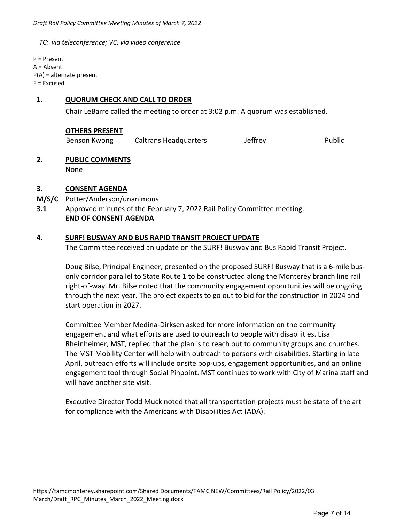*TC: via teleconference; VC: via video conference* 

P = Present A = Absent P(A) = alternate present  $E = Excused$ 

## **1. QUORUM CHECK AND CALL TO ORDER**

Chair LeBarre called the meeting to order at 3:02 p.m. A quorum was established.

#### **OTHERS PRESENT**

Benson Kwong Caltrans Headquarters Jeffrey Public

#### **2. PUBLIC COMMENTS**

None

#### **3. CONSENT AGENDA**

- **M/S/C**  Potter/Anderson/unanimous
- **3.1**  Approved minutes of the February 7, 2022 Rail Policy Committee meeting.  **END OF CONSENT AGENDA**

#### **4. SURF! BUSWAY AND BUS RAPID TRANSIT PROJECT UPDATE**

The Committee received an update on the SURF! Busway and Bus Rapid Transit Project.

Doug Bilse, Principal Engineer, presented on the proposed SURF! Busway that is a 6‐mile bus‐ only corridor parallel to State Route 1 to be constructed along the Monterey branch line rail right-of-way. Mr. Bilse noted that the community engagement opportunities will be ongoing through the next year. The project expects to go out to bid for the construction in 2024 and start operation in 2027.

Committee Member Medina‐Dirksen asked for more information on the community engagement and what efforts are used to outreach to people with disabilities. Lisa Rheinheimer, MST, replied that the plan is to reach out to community groups and churches. The MST Mobility Center will help with outreach to persons with disabilities. Starting in late April, outreach efforts will include onsite pop‐ups, engagement opportunities, and an online engagement tool through Social Pinpoint. MST continues to work with City of Marina staff and will have another site visit.

Executive Director Todd Muck noted that all transportation projects must be state of the art for compliance with the Americans with Disabilities Act (ADA).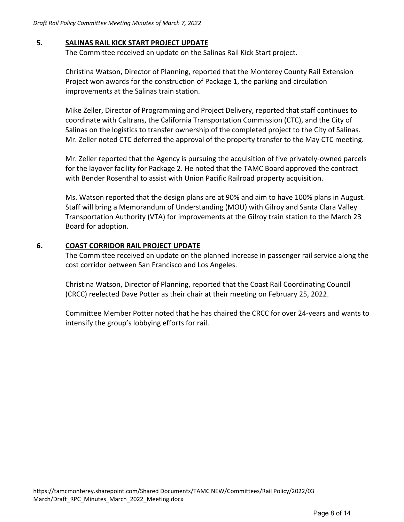### **5. SALINAS RAIL KICK START PROJECT UPDATE**

The Committee received an update on the Salinas Rail Kick Start project.

Christina Watson, Director of Planning, reported that the Monterey County Rail Extension Project won awards for the construction of Package 1, the parking and circulation improvements at the Salinas train station.

Mike Zeller, Director of Programming and Project Delivery, reported that staff continues to coordinate with Caltrans, the California Transportation Commission (CTC), and the City of Salinas on the logistics to transfer ownership of the completed project to the City of Salinas. Mr. Zeller noted CTC deferred the approval of the property transfer to the May CTC meeting.

Mr. Zeller reported that the Agency is pursuing the acquisition of five privately‐owned parcels for the layover facility for Package 2. He noted that the TAMC Board approved the contract with Bender Rosenthal to assist with Union Pacific Railroad property acquisition.

Ms. Watson reported that the design plans are at 90% and aim to have 100% plans in August. Staff will bring a Memorandum of Understanding (MOU) with Gilroy and Santa Clara Valley Transportation Authority (VTA) for improvements at the Gilroy train station to the March 23 Board for adoption.

#### **6. COAST CORRIDOR RAIL PROJECT UPDATE**

The Committee received an update on the planned increase in passenger rail service along the cost corridor between San Francisco and Los Angeles.

Christina Watson, Director of Planning, reported that the Coast Rail Coordinating Council (CRCC) reelected Dave Potter as their chair at their meeting on February 25, 2022.

Committee Member Potter noted that he has chaired the CRCC for over 24‐years and wants to intensify the group's lobbying efforts for rail.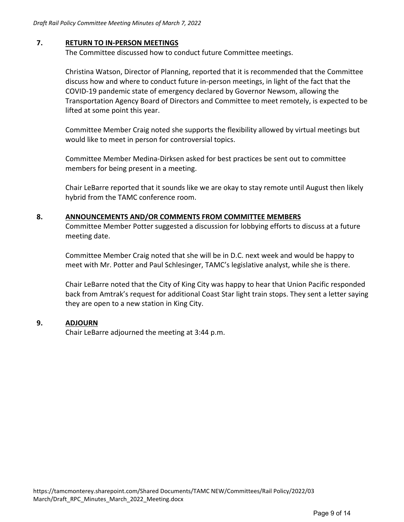#### **7. RETURN TO IN‐PERSON MEETINGS**

The Committee discussed how to conduct future Committee meetings.

Christina Watson, Director of Planning, reported that it is recommended that the Committee discuss how and where to conduct future in‐person meetings, in light of the fact that the COVID‐19 pandemic state of emergency declared by Governor Newsom, allowing the Transportation Agency Board of Directors and Committee to meet remotely, is expected to be lifted at some point this year.

Committee Member Craig noted she supports the flexibility allowed by virtual meetings but would like to meet in person for controversial topics.

Committee Member Medina‐Dirksen asked for best practices be sent out to committee members for being present in a meeting.

Chair LeBarre reported that it sounds like we are okay to stay remote until August then likely hybrid from the TAMC conference room.

#### **8. ANNOUNCEMENTS AND/OR COMMENTS FROM COMMITTEE MEMBERS**

Committee Member Potter suggested a discussion for lobbying efforts to discuss at a future meeting date.

Committee Member Craig noted that she will be in D.C. next week and would be happy to meet with Mr. Potter and Paul Schlesinger, TAMC's legislative analyst, while she is there.

Chair LeBarre noted that the City of King City was happy to hear that Union Pacific responded back from Amtrak's request for additional Coast Star light train stops. They sent a letter saying they are open to a new station in King City.

#### **9. ADJOURN**

Chair LeBarre adjourned the meeting at 3:44 p.m.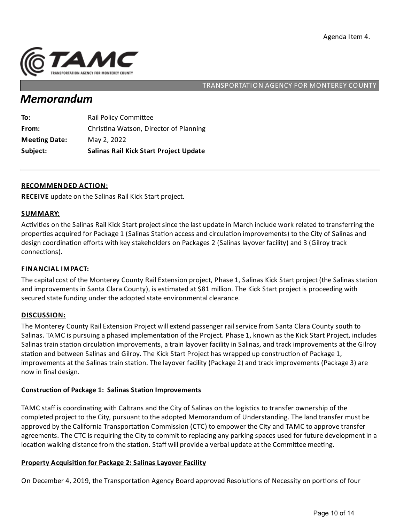

# *Memorandum*

| Subject:             | <b>Salinas Rail Kick Start Project Update</b> |
|----------------------|-----------------------------------------------|
| <b>Meeting Date:</b> | May 2, 2022                                   |
| From:                | Christina Watson, Director of Planning        |
| To:                  | <b>Rail Policy Committee</b>                  |

#### **RECOMMENDED ACTION:**

**RECEIVE** update on the Salinas Rail Kick Start project.

#### **SUMMARY:**

Activities on the Salinas Rail Kick Start project since the last update in March include work related to transferring the properties acquired for Package 1 (Salinas Station access and circulation improvements) to the City of Salinas and design coordination efforts with key stakeholders on Packages 2 (Salinas layover facility) and 3 (Gilroy track connections).

#### **FINANCIAL IMPACT:**

The capital cost of the Monterey County Rail Extension project, Phase 1, Salinas Kick Start project (the Salinas station and improvements in Santa Clara County), is estimated at \$81 million. The Kick Start project is proceeding with secured state funding under the adopted state environmental clearance.

#### **DISCUSSION:**

The Monterey County Rail Extension Project will extend passenger rail service from Santa Clara County south to Salinas. TAMC is pursuing a phased implementation of the Project. Phase 1, known as the Kick Start Project, includes Salinas train station circulation improvements, a train layover facility in Salinas, and track improvements at the Gilroy station and between Salinas and Gilroy. The Kick Start Project has wrapped up construction of Package 1, improvements at the Salinas train station. The layover facility (Package 2) and track improvements (Package 3) are now in final design.

## **Construction of Package 1: Salinas Station Improvements**

TAMC staff is coordinating with Caltrans and the City of Salinas on the logistics to transfer ownership of the completed project to the City, pursuant to the adopted Memorandum of Understanding. The land transfer must be approved by the California Transportation Commission (CTC) to empower the City and TAMC to approve transfer agreements. The CTC is requiring the City to commit to replacing any parking spaces used for future development in a location walking distance from the station. Staff will provide a verbal update at the Committee meeting.

## **Property Acquisi on for Package 2:Salinas Layover Facility**

On December 4, 2019, the Transportation Agency Board approved Resolutions of Necessity on portions of four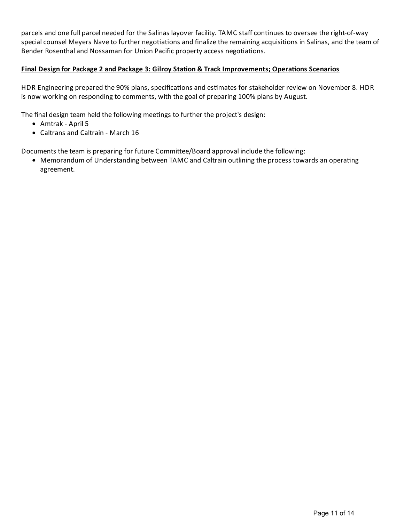parcels and one full parcel needed for the Salinas layover facility. TAMC staff continues to oversee the right-of-way special counsel Meyers Nave to further negotiations and finalize the remaining acquisitions in Salinas, and the team of Bender Rosenthal and Nossaman for Union Pacific property access negotiations.

## **Final Design for Package 2 and Package 3: Gilroy Sta on & TrackImprovements; Opera ons Scenarios**

HDR Engineering prepared the 90% plans, specifications and estimates for stakeholder review on November 8. HDR is now working on responding to comments, with the goal of preparing 100% plans by August.

The final design team held the following meetings to further the project's design:

- Amtrak April 5
- Caltrans and Caltrain March 16

Documents the team is preparing for future Committee/Board approval include the following:

• Memorandum of Understanding between TAMC and Caltrain outlining the process towards an operating agreement.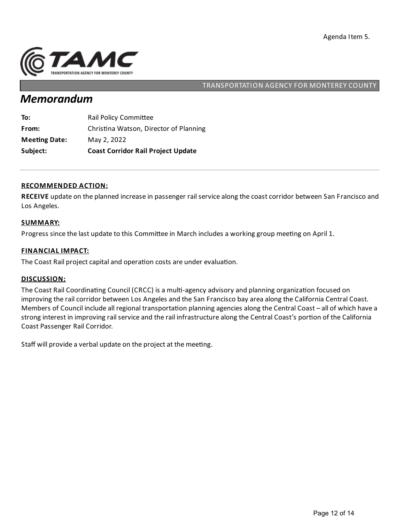

# *Memorandum*

| Subject:             | <b>Coast Corridor Rail Project Update</b> |
|----------------------|-------------------------------------------|
| <b>Meeting Date:</b> | May 2, 2022                               |
| From:                | Christina Watson, Director of Planning    |
| To:                  | <b>Rail Policy Committee</b>              |

#### **RECOMMENDED ACTION:**

**RECEIVE** update on the planned increase in passenger rail service along the coast corridor between San Francisco and Los Angeles.

#### **SUMMARY:**

Progress since the last update to this Committee in March includes a working group meeting on April 1.

#### **FINANCIAL IMPACT:**

The Coast Rail project capital and operation costs are under evaluation.

#### **DISCUSSION:**

The Coast Rail Coordinating Council (CRCC) is a multi-agency advisory and planning organization focused on improving the rail corridor between Los Angeles and the San Francisco bay area along the California Central Coast. Members of Council include all regional transportation planning agencies along the Central Coast – all of which have a strong interest in improving rail service and the rail infrastructure along the Central Coast's portion of the California Coast Passenger Rail Corridor.

Staff will provide a verbal update on the project at the meeting.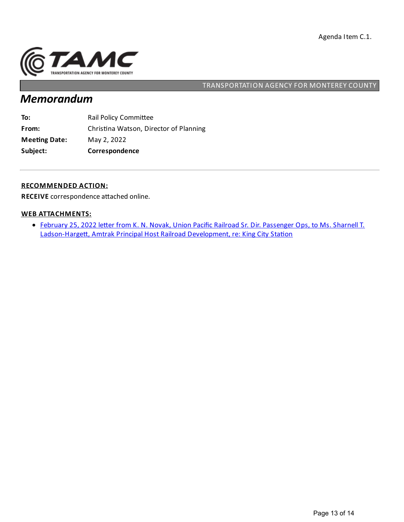

# *Memorandum*

| Subject:             | Correspondence                         |
|----------------------|----------------------------------------|
| <b>Meeting Date:</b> | May 2, 2022                            |
| From:                | Christina Watson, Director of Planning |
| To:                  | <b>Rail Policy Committee</b>           |

#### **RECOMMENDED ACTION:**

**RECEIVE** correspondence attached online.

#### **WEB ATTACHMENTS:**

• February 25, 2022 letter from K. N. Novak, Union Pacific Railroad Sr. Dir. Passenger Ops, to Ms. Sharnell T. Ladson-Hargett, Amtrak Principal Host Railroad Development, re: King City Station